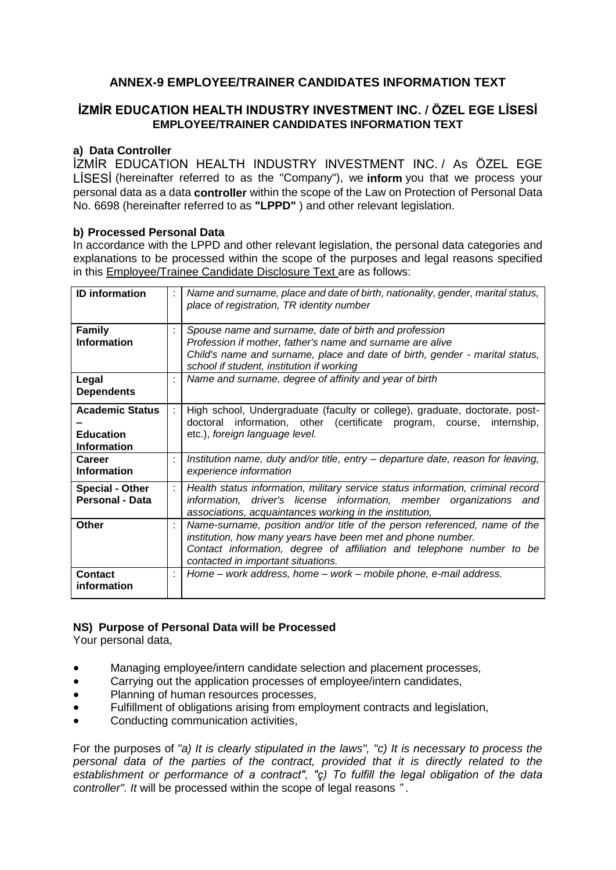# **ANNEX-9 EMPLOYEE/TRAINER CANDIDATES INFORMATION TEXT**

# **İZMİR EDUCATION HEALTH INDUSTRY INVESTMENT INC. / ÖZEL EGE LİSESİ EMPLOYEE/TRAINER CANDIDATES INFORMATION TEXT**

#### **a) Data Controller**

İZMİR EDUCATION HEALTH INDUSTRY INVESTMENT INC. / As ÖZEL EGE LİSESİ (hereinafter referred to as the "Company"), we **inform** you that we process your personal data as a data **controller** within the scope of the Law on Protection of Personal Data No. 6698 (hereinafter referred to as **"LPPD"** ) and other relevant legislation.

#### **b) Processed Personal Data**

In accordance with the LPPD and other relevant legislation, the personal data categories and explanations to be processed within the scope of the purposes and legal reasons specified in this Employee/Trainee Candidate Disclosure Text are as follows:

| <b>ID</b> information                                            | ÷ | Name and surname, place and date of birth, nationality, gender, marital status,<br>place of registration, TR identity number                                                                                                                            |
|------------------------------------------------------------------|---|---------------------------------------------------------------------------------------------------------------------------------------------------------------------------------------------------------------------------------------------------------|
| <b>Family</b><br><b>Information</b>                              | t | Spouse name and surname, date of birth and profession<br>Profession if mother, father's name and surname are alive<br>Child's name and surname, place and date of birth, gender - marital status,<br>school if student, institution if working          |
| Legal<br><b>Dependents</b>                                       | ÷ | Name and surname, degree of affinity and year of birth                                                                                                                                                                                                  |
| <b>Academic Status</b><br><b>Education</b><br><b>Information</b> | ÷ | High school, Undergraduate (faculty or college), graduate, doctorate, post-<br>doctoral information, other (certificate program, course, internship,<br>etc.), foreign language level.                                                                  |
| Career<br><b>Information</b>                                     | ÷ | Institution name, duty and/or title, entry – departure date, reason for leaving,<br>experience information                                                                                                                                              |
| <b>Special - Other</b><br><b>Personal - Data</b>                 | ÷ | Health status information, military service status information, criminal record<br>information, driver's license information, member organizations and<br>associations, acquaintances working in the institution,                                       |
| <b>Other</b>                                                     | ÷ | Name-surname, position and/or title of the person referenced, name of the<br>institution, how many years have been met and phone number.<br>Contact information, degree of affiliation and telephone number to be<br>contacted in important situations. |
| Contact<br>information                                           | ÷ | Home – work address, home – work – mobile phone, e-mail address.                                                                                                                                                                                        |

#### **NS) Purpose of Personal Data will be Processed**

Your personal data,

- Managing employee/intern candidate selection and placement processes,
- Carrying out the application processes of employee/intern candidates,
- Planning of human resources processes,
- Fulfillment of obligations arising from employment contracts and legislation,
- Conducting communication activities,

For the purposes of *"a) It is clearly stipulated in the laws", "c) It is necessary to process the personal data of the parties of the contract, provided that it is directly related to the establishment or performance of a contract", "ç) To fulfill the legal obligation of the data controller". It* will be processed within the scope of legal reasons *"* .